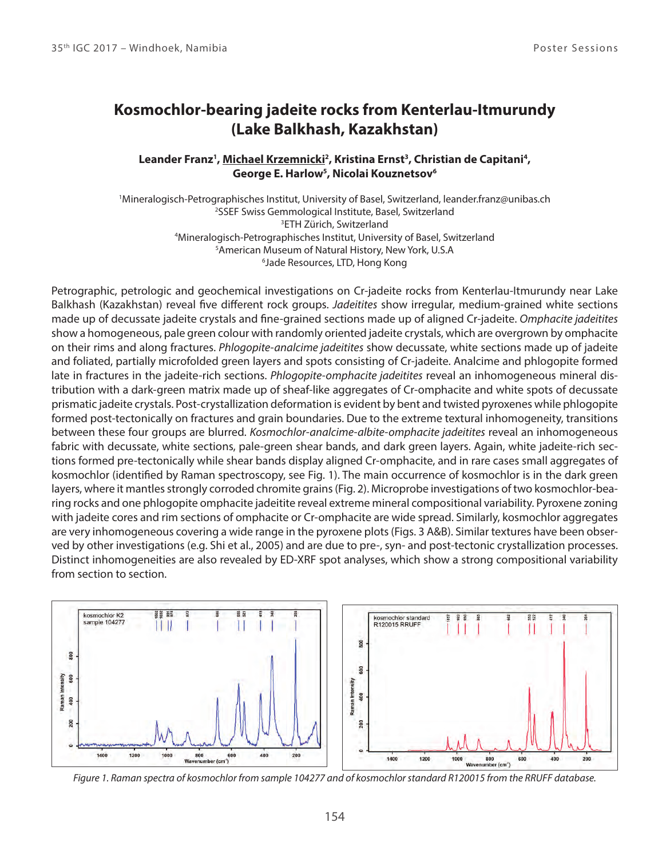## **Kosmochlor-bearing jadeite rocks from Kenterlau-Itmurundy (Lake Balkhash, Kazakhstan)**

## Leander Franz<sup>1</sup>, <u>Michael Krzemnicki</u><sup>2</sup>, Kristina Ernst<sup>3</sup>, Christian de Capitani<sup>4</sup>, **George E. Harlow<sup>5</sup> , Nicolai Kouznetsov<sup>6</sup>**

Mineralogisch-Petrographisches Institut, University of Basel, Switzerland, leander.franz@unibas.ch SSEF Swiss Gemmological Institute, Basel, Switzerland ETH Zürich, Switzerland Mineralogisch-Petrographisches Institut, University of Basel, Switzerland American Museum of Natural History, New York, U.S.A Jade Resources, LTD, Hong Kong

Petrographic, petrologic and geochemical investigations on Cr-jadeite rocks from Kenterlau-Itmurundy near Lake Balkhash (Kazakhstan) reveal five different rock groups. Jadeitites show irregular, medium-grained white sections made up of decussate jadeite crystals and fine-grained sections made up of aligned Cr-jadeite. Omphacite jadeitites show a homogeneous, pale green colour with randomly oriented jadeite crystals, which are overgrown by omphacite on their rims and along fractures. Phlogopite-analcime jadeitites show decussate, white sections made up of jadeite and foliated, partially microfolded green layers and spots consisting of Cr-jadeite. Analcime and phlogopite formed late in fractures in the jadeite-rich sections. Phlogopite-omphacite jadeitites reveal an inhomogeneous mineral distribution with a dark-green matrix made up of sheaf-like aggregates of Cr-omphacite and white spots of decussate prismatic jadeite crystals. Post-crystallization deformation is evident by bent and twisted pyroxenes while phlogopite formed post-tectonically on fractures and grain boundaries. Due to the extreme textural inhomogeneity, transitions between these four groups are blurred. Kosmochlor-analcime-albite-omphacite jadeitites reveal an inhomogeneous fabric with decussate, white sections, pale-green shear bands, and dark green layers. Again, white jadeite-rich sections formed pre-tectonically while shear bands display aligned Cr-omphacite, and in rare cases small aggregates of kosmochlor (identified by Raman spectroscopy, see Fig. 1). The main occurrence of kosmochlor is in the dark green layers, where it mantles strongly corroded chromite grains (Fig. 2). Microprobe investigations of two kosmochlor-bearing rocks and one phlogopite omphacite jadeitite reveal extreme mineral compositional variability. Pyroxene zoning with jadeite cores and rim sections of omphacite or Cr-omphacite are wide spread. Similarly, kosmochlor aggregates are very inhomogeneous covering a wide range in the pyroxene plots (Figs. 3 A&B). Similar textures have been observed by other investigations (e.g. Shi et al., 2005) and are due to pre-, syn- and post-tectonic crystallization processes. Distinct inhomogeneities are also revealed by ED-XRF spot analyses, which show a strong compositional variability from section to section.



Figure 1. Raman spectra of kosmochlor from sample 104277 and of kosmochlor standard R120015 from the RRUFF database.